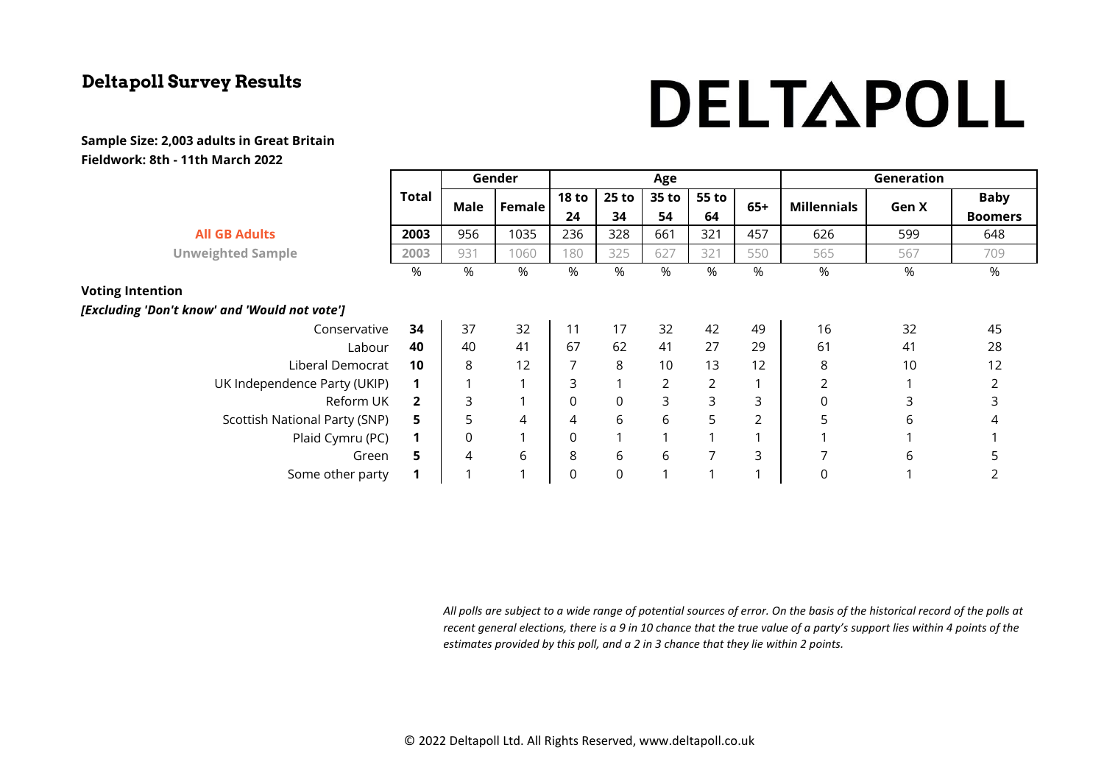# DELTAPOLL

#### **Sample Size: 2,003 adults in Great Britain Fieldwork: 8th - 11th March 2022**

|                                               |                | Gender |                | Age                |              |             |                |       | Generation         |       |                |
|-----------------------------------------------|----------------|--------|----------------|--------------------|--------------|-------------|----------------|-------|--------------------|-------|----------------|
|                                               | <b>Total</b>   | Male   | Female         | <b>18 to</b><br>24 | 25 to<br>34  | 35 to<br>54 | 55 to<br>64    | $65+$ | <b>Millennials</b> | Gen X | <b>Baby</b>    |
|                                               |                |        |                |                    |              |             |                |       |                    |       | <b>Boomers</b> |
| <b>All GB Adults</b>                          | 2003           | 956    | 1035           | 236                | 328          | 661         | 321            | 457   | 626                | 599   | 648            |
| <b>Unweighted Sample</b>                      | 2003           | 931    | 1060           | 180                | 325          | 627         | 321            | 550   | 565                | 567   | 709            |
|                                               | %              | %      | %              | %                  | %            | %           | %              | %     | %                  | %     | %              |
| <b>Voting Intention</b>                       |                |        |                |                    |              |             |                |       |                    |       |                |
| [Excluding 'Don't know' and 'Would not vote'] |                |        |                |                    |              |             |                |       |                    |       |                |
| Conservative                                  | 34             | 37     | 32             | 11                 | 17           | 32          | 42             | 49    | 16                 | 32    | 45             |
| Labour                                        | 40             | 40     | 41             | 67                 | 62           | 41          | 27             | 29    | 61                 | 41    | 28             |
| Liberal Democrat                              | 10             | 8      | 12             | 7                  | 8            | 10          | 13             | 12    | 8                  | 10    | 12             |
| UK Independence Party (UKIP)                  | 1              | 1      | 1              | 3                  |              | 2           | $\overline{2}$ |       | $\overline{2}$     |       |                |
| Reform UK                                     | $\overline{2}$ | 3      | 1              | $\boldsymbol{0}$   | $\mathsf{O}$ | 3           | 3              | 3     | 0                  | 3     | 3              |
| Scottish National Party (SNP)                 | 5              | 5      | 4              | 4                  | 6            | 6           | 5              | 2     | 5                  | 6     | 4              |
| Plaid Cymru (PC)                              | 1              | 0      | 1              | $\boldsymbol{0}$   |              |             |                |       |                    |       |                |
| Green                                         | 5              | 4      | 6              | 8                  | 6            | 6           | 7              | 3     | 7                  | 6     | 5              |
| Some other party                              | $\mathbf 1$    |        | $\overline{ }$ | $\boldsymbol{0}$   | $\mathsf 0$  |             |                |       | 0                  |       |                |
|                                               |                |        |                |                    |              |             |                |       |                    |       |                |

*All polls are subject to a wide range of potential sources of error. On the basis of the historical record of the polls at recent general elections, there is a 9 in 10 chance that the true value of a party's support lies within 4 points of the estimates provided by this poll, and a 2 in 3 chance that they lie within 2 points.*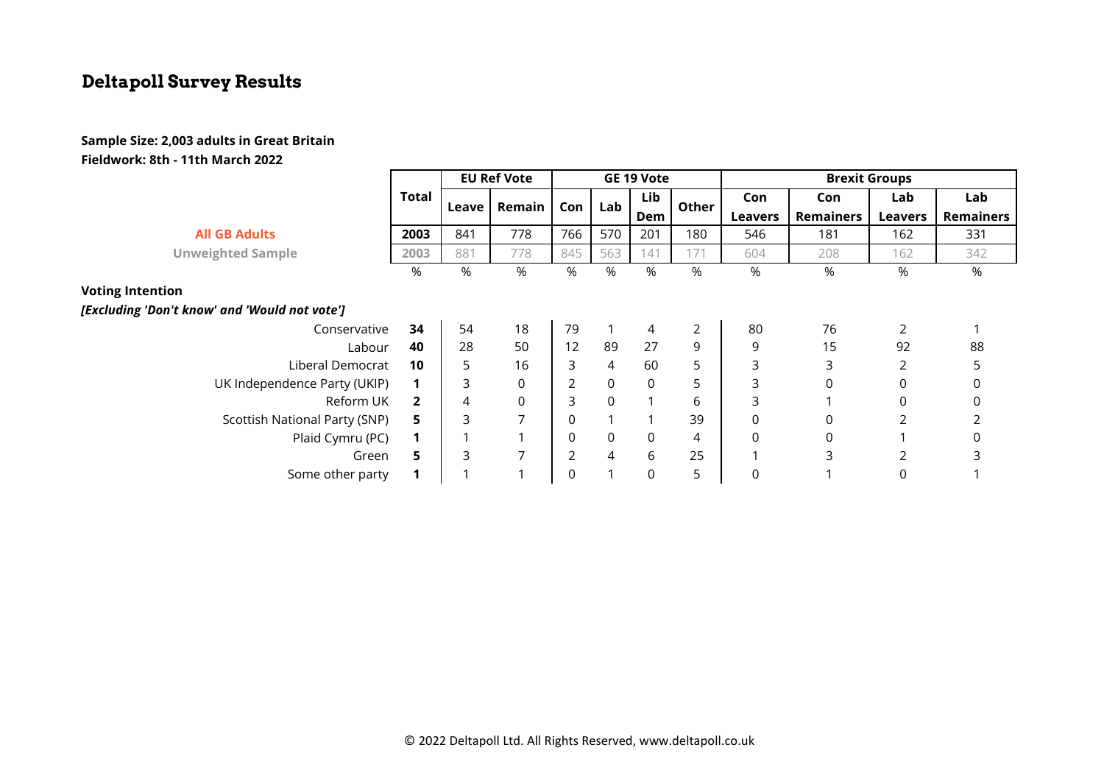#### **Sample Size: 2,003 adults in Great Britain Fieldwork: 8th - 11th March 2022**

|                                               |                | <b>EU Ref Vote</b> |                | GE 19 Vote     |                     |             |                | <b>Brexit Groups</b> |                  |                |                  |
|-----------------------------------------------|----------------|--------------------|----------------|----------------|---------------------|-------------|----------------|----------------------|------------------|----------------|------------------|
|                                               | Total          | Leave              | Remain         | Con            | Lab                 | Lib         | Other          | Con                  | Con              | Lab            | Lab              |
|                                               |                |                    |                |                |                     | Dem         |                | <b>Leavers</b>       | <b>Remainers</b> | <b>Leavers</b> | <b>Remainers</b> |
| <b>All GB Adults</b>                          | 2003           | 841                | 778            | 766            | 570                 | 201         | 180            | 546                  | 181              | 162            | 331              |
| <b>Unweighted Sample</b>                      | 2003           | 881                | 778            | 845            | 563                 | 141         | 171            | 604                  | 208              | 162            | 342              |
|                                               | %              | %                  | %              | %              | %                   | $\%$        | $\%$           | %                    | %                | %              | %                |
| <b>Voting Intention</b>                       |                |                    |                |                |                     |             |                |                      |                  |                |                  |
| [Excluding 'Don't know' and 'Would not vote'] |                |                    |                |                |                     |             |                |                      |                  |                |                  |
| Conservative                                  | 34             | 54                 | 18             | 79             | 1                   | 4           | $\overline{2}$ | 80                   | 76               | 2              |                  |
| Labour                                        | 40             | 28                 | 50             | 12             | 89                  | 27          | 9              | 9                    | 15               | 92             | 88               |
| Liberal Democrat                              | 10             | 5                  | 16             | 3              | $\overline{4}$      | 60          | 5              | 3                    | 3                | 2              | 5                |
| UK Independence Party (UKIP)                  |                | 3                  | $\Omega$       | 2              | 0                   | $\Omega$    | 5              | 3                    | $\Omega$         | $\Omega$       | 0                |
| Reform UK                                     | $\overline{2}$ | 4                  | 0              | 3              | $\mathbf 0$         |             | 6              | 3                    |                  | 0              | 0                |
| Scottish National Party (SNP)                 | 5              | 3                  | $\overline{ }$ | 0              |                     |             | 39             | 0                    | 0                | 2              |                  |
| Plaid Cymru (PC)                              |                |                    |                | $\mathbf 0$    | $\mathsf{O}\xspace$ | $\mathbf 0$ | 4              | 0                    | 0                |                | 0                |
| Green                                         | 5.             | 3                  | ⇁              | $\overline{2}$ | $\overline{4}$      | 6           | 25             |                      | 3                | 2              | 3                |
| Some other party                              |                |                    |                | $\Omega$       |                     | $\mathbf 0$ | 5              | 0                    |                  | 0              |                  |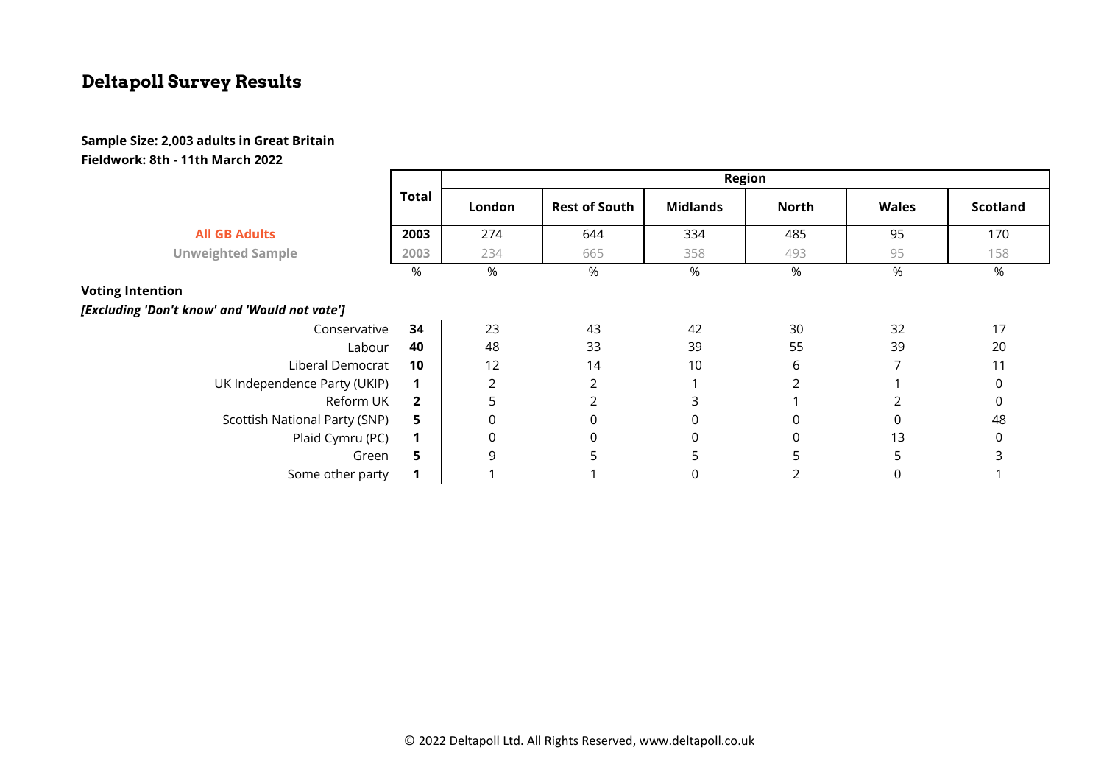#### **Sample Size: 2,003 adults in Great Britain Fieldwork: 8th - 11th March 2022**

|                                               | <b>Total</b>   | <b>Region</b>  |                      |                 |       |              |                 |  |  |  |
|-----------------------------------------------|----------------|----------------|----------------------|-----------------|-------|--------------|-----------------|--|--|--|
|                                               |                | London         | <b>Rest of South</b> | <b>Midlands</b> | North | <b>Wales</b> | <b>Scotland</b> |  |  |  |
| <b>All GB Adults</b>                          | 2003           | 274            | 644                  | 334             | 485   | 95           | 170             |  |  |  |
| <b>Unweighted Sample</b>                      | 2003           | 234            | 665                  | 358             | 493   | 95           | 158             |  |  |  |
|                                               | %              | %              | %                    | %               | $\%$  | %            | %               |  |  |  |
| <b>Voting Intention</b>                       |                |                |                      |                 |       |              |                 |  |  |  |
| [Excluding 'Don't know' and 'Would not vote'] |                |                |                      |                 |       |              |                 |  |  |  |
| Conservative                                  | 34             | 23             | 43                   | 42              | 30    | 32           | 17              |  |  |  |
| Labour                                        | 40             | 48             | 33                   | 39              | 55    | 39           | 20              |  |  |  |
| Liberal Democrat                              | 10             | 12             | 14                   | 10              | 6     |              | 11              |  |  |  |
| UK Independence Party (UKIP)                  |                | $\overline{2}$ | 2                    |                 |       |              | 0               |  |  |  |
| Reform UK                                     | $\overline{2}$ | 5              | 2                    | 3               |       |              | $\Omega$        |  |  |  |
| Scottish National Party (SNP)                 | 5              | 0              | $\mathbf 0$          | $\mathbf 0$     | 0     | 0            | 48              |  |  |  |
| Plaid Cymru (PC)                              | $\mathbf 1$    | $\mathbf 0$    | 0                    | $\mathbf 0$     | 0     | 13           | 0               |  |  |  |
| Green                                         | 5              | 9              | 5                    | 5               | 5     | 5.           | ς               |  |  |  |
| Some other party                              |                |                |                      | 0               |       |              |                 |  |  |  |